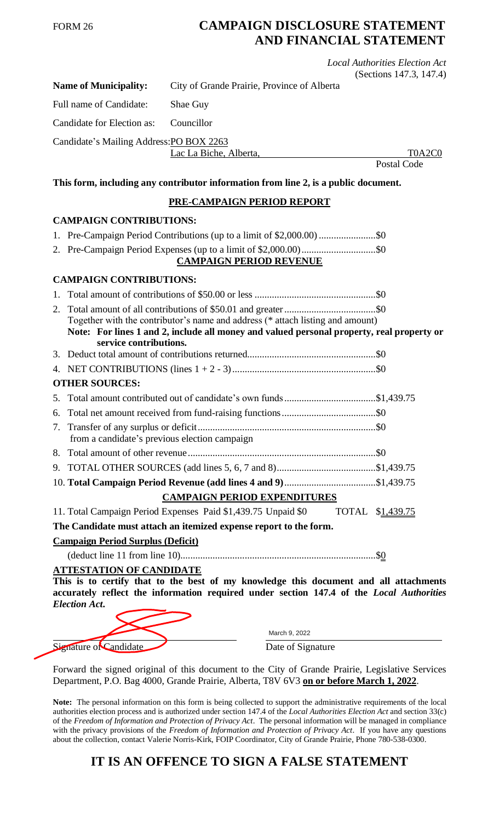## FORM 26 **CAMPAIGN DISCLOSURE STATEMENT AND FINANCIAL STATEMENT**

|                         |                                                         |                                                                                                                                                                                   | <b>Local Authorities Election Act</b><br>(Sections 147.3, 147.4) |
|-------------------------|---------------------------------------------------------|-----------------------------------------------------------------------------------------------------------------------------------------------------------------------------------|------------------------------------------------------------------|
|                         | <b>Name of Municipality:</b>                            | City of Grande Prairie, Province of Alberta                                                                                                                                       |                                                                  |
| Full name of Candidate: |                                                         | Shae Guy                                                                                                                                                                          |                                                                  |
|                         | Candidate for Election as:                              | Councillor                                                                                                                                                                        |                                                                  |
|                         | Candidate's Mailing Address: PO BOX 2263                |                                                                                                                                                                                   |                                                                  |
|                         |                                                         | Lac La Biche, Alberta,                                                                                                                                                            | T0A2C0<br><b>Postal Code</b>                                     |
|                         |                                                         | This form, including any contributor information from line 2, is a public document.                                                                                               |                                                                  |
|                         |                                                         | PRE-CAMPAIGN PERIOD REPORT                                                                                                                                                        |                                                                  |
|                         | <b>CAMPAIGN CONTRIBUTIONS:</b>                          |                                                                                                                                                                                   |                                                                  |
|                         |                                                         | 1. Pre-Campaign Period Contributions (up to a limit of \$2,000.00) \$0                                                                                                            |                                                                  |
|                         |                                                         | <b>CAMPAIGN PERIOD REVENUE</b>                                                                                                                                                    |                                                                  |
|                         | <b>CAMPAIGN CONTRIBUTIONS:</b>                          |                                                                                                                                                                                   |                                                                  |
|                         |                                                         |                                                                                                                                                                                   |                                                                  |
|                         | service contributions.                                  | Together with the contributor's name and address (* attach listing and amount)<br>Note: For lines 1 and 2, include all money and valued personal property, real property or       |                                                                  |
|                         |                                                         |                                                                                                                                                                                   |                                                                  |
|                         |                                                         |                                                                                                                                                                                   |                                                                  |
|                         | <b>OTHER SOURCES:</b>                                   |                                                                                                                                                                                   |                                                                  |
|                         |                                                         | 5. Total amount contributed out of candidate's own funds\$1,439.75                                                                                                                |                                                                  |
|                         |                                                         |                                                                                                                                                                                   |                                                                  |
|                         | from a candidate's previous election campaign           |                                                                                                                                                                                   |                                                                  |
|                         |                                                         |                                                                                                                                                                                   |                                                                  |
|                         |                                                         |                                                                                                                                                                                   |                                                                  |
|                         |                                                         |                                                                                                                                                                                   |                                                                  |
|                         |                                                         | <b>CAMPAIGN PERIOD EXPENDITURES</b>                                                                                                                                               |                                                                  |
|                         |                                                         | 11. Total Campaign Period Expenses Paid \$1,439.75 Unpaid \$0                                                                                                                     | TOTAL \$1,439.75                                                 |
|                         |                                                         | The Candidate must attach an itemized expense report to the form.                                                                                                                 |                                                                  |
|                         | <b>Campaign Period Surplus (Deficit)</b>                |                                                                                                                                                                                   |                                                                  |
|                         |                                                         |                                                                                                                                                                                   |                                                                  |
|                         | <b>ATTESTATION OF CANDIDATE</b><br><b>Election Act.</b> | This is to certify that to the best of my knowledge this document and all attachments<br>accurately reflect the information required under section 147.4 of the Local Authorities |                                                                  |

Signature of Candidate Date of Signature

March 9, 2022

Forward the signed original of this document to the City of Grande Prairie, Legislative Services Department, P.O. Bag 4000, Grande Prairie, Alberta, T8V 6V3 **on or before March 1, 2022**.

**Note:** The personal information on this form is being collected to support the administrative requirements of the local authorities election process and is authorized under section 147.4 of the *Local Authorities Election Act* and section 33(c) of the *Freedom of Information and Protection of Privacy Act*. The personal information will be managed in compliance with the privacy provisions of the *Freedom of Information and Protection of Privacy Act*. If you have any questions about the collection, contact Valerie Norris-Kirk, FOIP Coordinator, City of Grande Prairie, Phone 780-538-0300.

## **IT IS AN OFFENCE TO SIGN A FALSE STATEMENT**